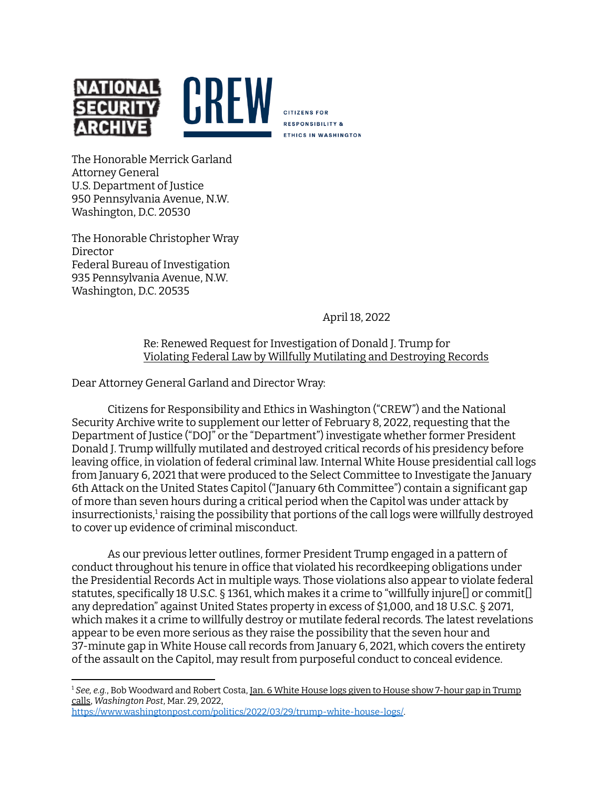

**CITIZENS FOR RESPONSIBILITY & ETHICS IN WASHINGTON** 

The Honorable Merrick Garland Attorney General U.S. Department of Justice 950 Pennsylvania Avenue, N.W. Washington, D.C. 20530

The Honorable Christopher Wray Director Federal Bureau of Investigation 935 Pennsylvania Avenue, N.W. Washington, D.C. 20535

April 18, 2022

## Re: Renewed Request for Investigation of Donald J. Trump for Violating Federal Law by Willfully Mutilating and Destroying Records

Dear Attorney General Garland and Director Wray:

Citizens for Responsibility and Ethics in Washington ("CREW") and the National Security Archive write to supplement our letter of February 8, 2022, requesting that the Department of Justice ("DOJ" or the "Department") investigate whether former President Donald J. Trump willfully mutilated and destroyed critical records of his presidency before leaving office, in violation of federal criminal law. Internal White House presidential call logs from January 6, 2021 that were produced to the Select Committee to Investigate the January 6th Attack on the United States Capitol ("January 6th Committee") contain a significant gap of more than seven hours during a critical period when the Capitol was under attack by insurrectionists, $^1$  raising the possibility that portions of the call logs were willfully destroyed to cover up evidence of criminal misconduct.

As our previous letter outlines, former President Trump engaged in a pattern of conduct throughout his tenure in office that violated his recordkeeping obligations under the Presidential Records Act in multiple ways. Those violations also appear to violate federal statutes, specifically 18 U.S.C. § 1361, which makes it a crime to "willfully injure[] or commit[] any depredation" against United States property in excess of \$1,000, and 18 U.S.C. § 2071, which makes it a crime to willfully destroy or mutilate federal records. The latest revelations appear to be even more serious as they raise the possibility that the seven hour and 37-minute gap in White House call records from January 6, 2021, which covers the entirety of the assault on the Capitol, may result from purposeful conduct to conceal evidence.

<sup>1</sup> *See, e.g.*, Bob Woodward and Robert Costa, Jan. 6 White House logs given to House show 7-hour gap in Trump calls, *Washington Post*, Mar. 29, 2022, <https://www.washingtonpost.com/politics/2022/03/29/trump-white-house-logs/>.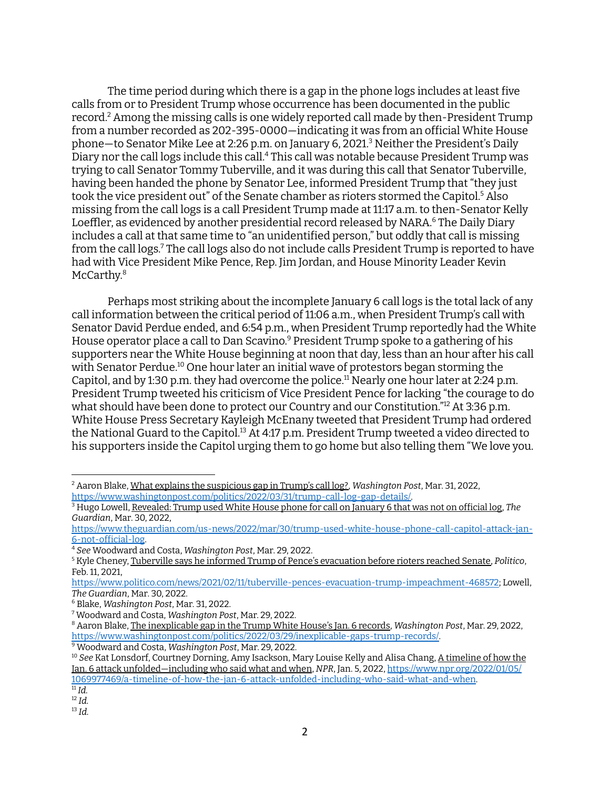The time period during which there is a gap in the phone logs includes at least five calls from or to President Trump whose occurrence has been documented in the public record. <sup>2</sup> Among the missing calls is one widely reported call made by then-President Trump from a number recorded as 202-395-0000—indicating it was from an official White House phone—to Senator Mike Lee at 2:26 p.m. on January 6, 2021. <sup>3</sup> Neither the President's Daily Diary nor the call logs include this call.<sup>4</sup> This call was notable because President Trump was trying to call Senator Tommy Tuberville, and it was during this call that Senator Tuberville, having been handed the phone by Senator Lee, informed President Trump that "they just took the vice president out" of the Senate chamber as rioters stormed the Capitol. <sup>5</sup> Also missing from the call logs is a call President Trump made at 11:17 a.m. to then-Senator Kelly Loeffler, as evidenced by another presidential record released by NARA. <sup>6</sup> The Daily Diary includes a call at that same time to "an unidentified person," but oddly that call is missing from the call logs.<sup>7</sup> The call logs also do not include calls President Trump is reported to have had with Vice President Mike Pence, Rep. Jim Jordan, and House Minority Leader Kevin McCarthy. 8

Perhaps most striking about the incomplete January 6 call logs is the total lack of any call information between the critical period of 11:06 a.m., when President Trump's call with Senator David Perdue ended, and 6:54 p.m., when President Trump reportedly had the White House operator place a call to Dan Scavino. <sup>9</sup> President Trump spoke to a gathering of his supporters near the White House beginning at noon that day, less than an hour after his call with Senator Perdue. <sup>10</sup> One hour later an initial wave of protestors began storming the Capitol, and by 1:30 p.m. they had overcome the police.<sup>11</sup> Nearly one hour later at 2:24 p.m. President Trump tweeted his criticism of Vice President Pence for lacking "the courage to do what should have been done to protect our Country and our Constitution." <sup>12</sup> At 3:36 p.m. White House Press Secretary Kayleigh McEnany tweeted that President Trump had ordered the National Guard to the Capitol. $^{\rm 13}$  At 4:17 p.m. President Trump tweeted a video directed to his supporters inside the Capitol urging them to go home but also telling them "We love you.

<sup>9</sup> Woodward and Costa, *Washington Post*, Mar. 29, 2022.

13 *Id.*

<sup>2</sup> Aaron Blake, What explains the suspicious gap in Trump's call log?, *Washington Post*, Mar. 31, 2022, [https://www.washingtonpost.com/politics/2022/03/31/trump-call-log-gap-details/.](https://www.washingtonpost.com/politics/2022/03/31/trump-call-log-gap-details/)

<sup>3</sup> Hugo Lowell, Revealed: Trump used White House phone for call on January 6 that was not on official log, *The Guardian*, Mar. 30, 2022,

[https://www.theguardian.com/us-news/2022/mar/30/trump-used-white-house-phone-call-capitol-attack-jan-](https://www.theguardian.com/us-news/2022/mar/30/trump-used-white-house-phone-call-capitol-attack-jan-6-not-official-log)[6-not-official-log](https://www.theguardian.com/us-news/2022/mar/30/trump-used-white-house-phone-call-capitol-attack-jan-6-not-official-log).

<sup>4</sup> *See* Woodward and Costa, *Washington Post*, Mar. 29, 2022.

<sup>5</sup> Kyle Cheney, Tuberville says he informed Trump of Pence's evacuation before rioters reached Senate, *Politico*, Feb. 11, 2021,

[https://www.politico.com/news/2021/02/11/tuberville-pences-evacuation-trump-impeachment-468572;](https://www.politico.com/news/2021/02/11/tuberville-pences-evacuation-trump-impeachment-468572) Lowell, *The Guardian*, Mar. 30, 2022.

<sup>6</sup> Blake, *Washington Post*, Mar. 31, 2022.

<sup>7</sup> Woodward and Costa, *Washington Post*, Mar. 29, 2022.

<sup>8</sup> Aaron Blake, The inexplicable gap in the Trump White House's Jan. 6 records, *Washington Post*, Mar. 29, 2022, [https://www.washingtonpost.com/politics/2022/03/29/inexplicable-gaps-trump-records/.](https://www.washingtonpost.com/politics/2022/03/29/inexplicable-gaps-trump-records/)

<sup>11</sup> *Id.* <sup>10</sup> *See* Kat Lonsdorf, Courtney Dorning, Amy Isackson, Mary Louise Kelly and Alisa Chang, A timeline of how the Jan. 6 attack unfolded—including who said what and when, *NPR*, Jan. 5, 2022, [https://www.npr.org/2022/01/05/](https://www.npr.org/2022/01/05/1069977469/a-timeline-of-how-the-jan-6-attack-unfolded-including-who-said-what-and-when) [1069977469/a-timeline-of-how-the-jan-6-attack-unfolded-including-who-said-what-and-when.](https://www.npr.org/2022/01/05/1069977469/a-timeline-of-how-the-jan-6-attack-unfolded-including-who-said-what-and-when)

<sup>12</sup> *Id.*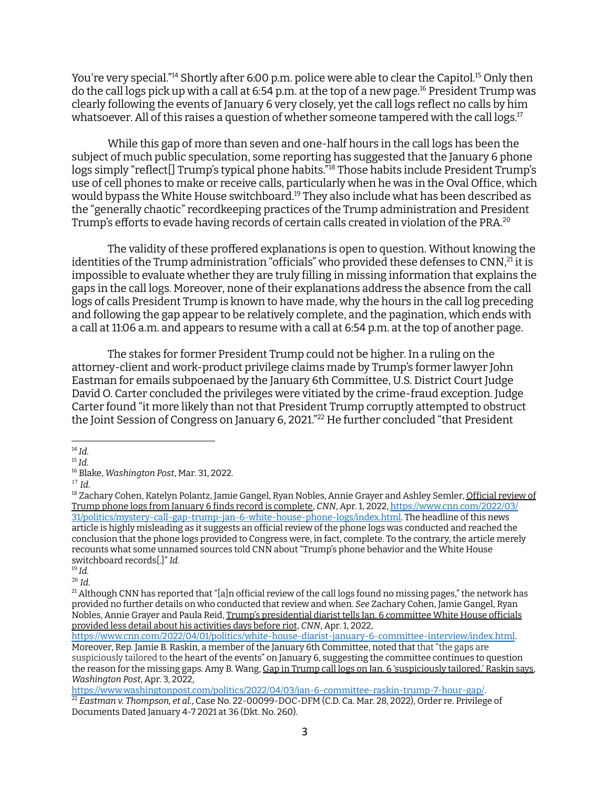You're very special." <sup>14</sup> Shortly after 6:00 p.m. police were able to clear the Capitol. <sup>15</sup> Only then do the call logs pick up with a call at 6:54 p.m. at the top of a new page. <sup>16</sup> President Trump was clearly following the events of January 6 very closely, yet the call logs reflect no calls by him whatsoever. All of this raises a question of whether someone tampered with the call logs. $^{\rm 17}$ 

While this gap of more than seven and one-half hours in the call logs has been the subject of much public speculation, some reporting has suggested that the January 6 phone logs simply "reflect[] Trump's typical phone habits." <sup>18</sup> Those habits include President Trump's use of cell phones to make or receive calls, particularly when he was in the Oval Office, which would bypass the White House switchboard. <sup>19</sup> They also include what has been described as the "generally chaotic" recordkeeping practices of the Trump administration and President Trump's efforts to evade having records of certain calls created in violation of the PRA. $^{\rm 20}$ 

The validity of these proffered explanations is open to question. Without knowing the identities of the Trump administration "officials" who provided these defenses to CNN, $^{21}$  it is impossible to evaluate whether they are truly filling in missing information that explains the gaps in the call logs. Moreover, none of their explanations address the absence from the call logs of calls President Trump is known to have made, why the hours in the call log preceding and following the gap appear to be relatively complete, and the pagination, which ends with a call at 11:06 a.m. and appears to resume with a call at 6:54 p.m. at the top of another page.

The stakes for former President Trump could not be higher. In a ruling on the attorney-client and work-product privilege claims made by Trump's former lawyer John Eastman for emails subpoenaed by the January 6th Committee, U.S. District Court Judge David O. Carter concluded the privileges were vitiated by the crime-fraud exception. Judge Carter found "it more likely than not that President Trump corruptly attempted to obstruct the Joint Session of Congress on January 6, 2021." <sup>22</sup> He further concluded "that President

<sup>14</sup> *Id.*

<sup>15</sup> *Id.*

<sup>16</sup> Blake, *Washington Post*, Mar. 31, 2022.

<sup>17</sup> *Id.*

<sup>&</sup>lt;sup>18</sup> Zachary Cohen, Katelyn Polantz, Jamie Gangel, Ryan Nobles, Annie Grayer and Ashley Semler, Official review of Trump phone logs from January 6 finds record is complete, *CNN*, Apr. 1, 2022, [https://www.cnn.com/2022/03/](https://www.cnn.com/2022/03/31/politics/mystery-call-gap-trump-jan-6-white-house-phone-logs/index.html) [31/politics/mystery-call-gap-trump-jan-6-white-house-phone-logs/index.html.](https://www.cnn.com/2022/03/31/politics/mystery-call-gap-trump-jan-6-white-house-phone-logs/index.html) The headline of this news article is highly misleading as it suggests an official review of the phone logs was conducted and reached the conclusion that the phone logs provided to Congress were, in fact, complete. To the contrary, the article merely recounts what some unnamed sources told CNN about "Trump's phone behavior and the White House switchboard records[.]" *Id.*

<sup>19</sup> *Id.*

<sup>20</sup> *Id.*

 $^{21}$  Although CNN has reported that "[a]n official review of the call logs found no missing pages," the network has provided no further details on who conducted that review and when. *See* Zachary Cohen, Jamie Gangel, Ryan Nobles, Annie Grayer and Paula Reid, Trump's presidential diarist tells Jan. 6 committee White House officials provided less detail about his activities days before riot, *CNN*, Apr. 1, 2022,

<https://www.cnn.com/2022/04/01/politics/white-house-diarist-january-6-committee-interview/index.html>.

Moreover, Rep. Jamie B. Raskin, a member of the January 6th Committee, noted that that "the gaps are suspiciously tailored to the heart of the events" on January 6, suggesting the committee continues to question the reason for the missing gaps. Amy B. Wang, Gap in Trump call logs on Jan. 6 'suspiciously tailored,' Raskin says, *Washington Post*, Apr. 3, 2022,

<sup>22</sup> *Eastman v. Thompson, et al.*, Case No. 22-00099-DOC-DFM (C.D. Ca. Mar. 28, 2022), Order re. Privilege of Documents Dated January 4-7 2021 at 36 (Dkt. No. 260). <https://www.washingtonpost.com/politics/2022/04/03/jan-6-committee-raskin-trump-7-hour-gap/>.